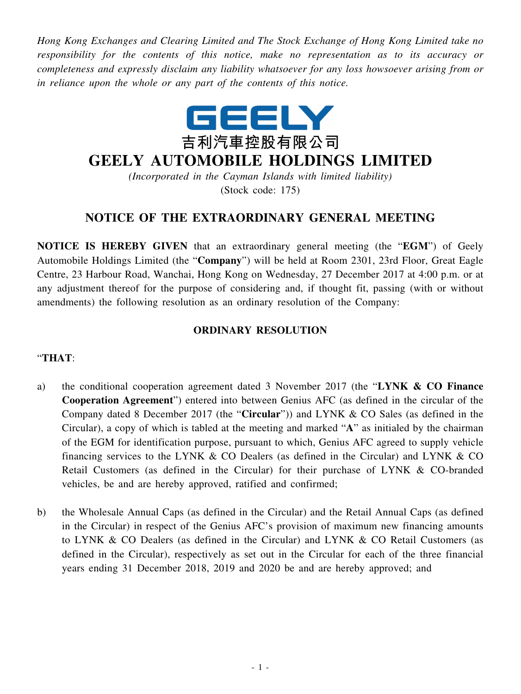*Hong Kong Exchanges and Clearing Limited and The Stock Exchange of Hong Kong Limited take no responsibility for the contents of this notice, make no representation as to its accuracy or completeness and expressly disclaim any liability whatsoever for any loss howsoever arising from or in reliance upon the whole or any part of the contents of this notice.*



## **GEELY AUTOMOBILE HOLDINGS LIMITED**

*(Incorporated in the Cayman Islands with limited liability)* (Stock code: 175)

## **NOTICE OF THE EXTRAORDINARY GENERAL MEETING**

**NOTICE IS HEREBY GIVEN** that an extraordinary general meeting (the "**EGM**") of Geely Automobile Holdings Limited (the "**Company**") will be held at Room 2301, 23rd Floor, Great Eagle Centre, 23 Harbour Road, Wanchai, Hong Kong on Wednesday, 27 December 2017 at 4:00 p.m. or at any adjustment thereof for the purpose of considering and, if thought fit, passing (with or without amendments) the following resolution as an ordinary resolution of the Company:

## **ORDINARY RESOLUTION**

## "**THAT**:

- a) the conditional cooperation agreement dated 3 November 2017 (the "**LYNK & CO Finance Cooperation Agreement**") entered into between Genius AFC (as defined in the circular of the Company dated 8 December 2017 (the "**Circular**")) and LYNK & CO Sales (as defined in the Circular), a copy of which is tabled at the meeting and marked "**A**" as initialed by the chairman of the EGM for identification purpose, pursuant to which, Genius AFC agreed to supply vehicle financing services to the LYNK  $&$  CO Dealers (as defined in the Circular) and LYNK  $&$  CO Retail Customers (as defined in the Circular) for their purchase of LYNK & CO-branded vehicles, be and are hereby approved, ratified and confirmed;
- b) the Wholesale Annual Caps (as defined in the Circular) and the Retail Annual Caps (as defined in the Circular) in respect of the Genius AFC's provision of maximum new financing amounts to LYNK & CO Dealers (as defined in the Circular) and LYNK & CO Retail Customers (as defined in the Circular), respectively as set out in the Circular for each of the three financial years ending 31 December 2018, 2019 and 2020 be and are hereby approved; and